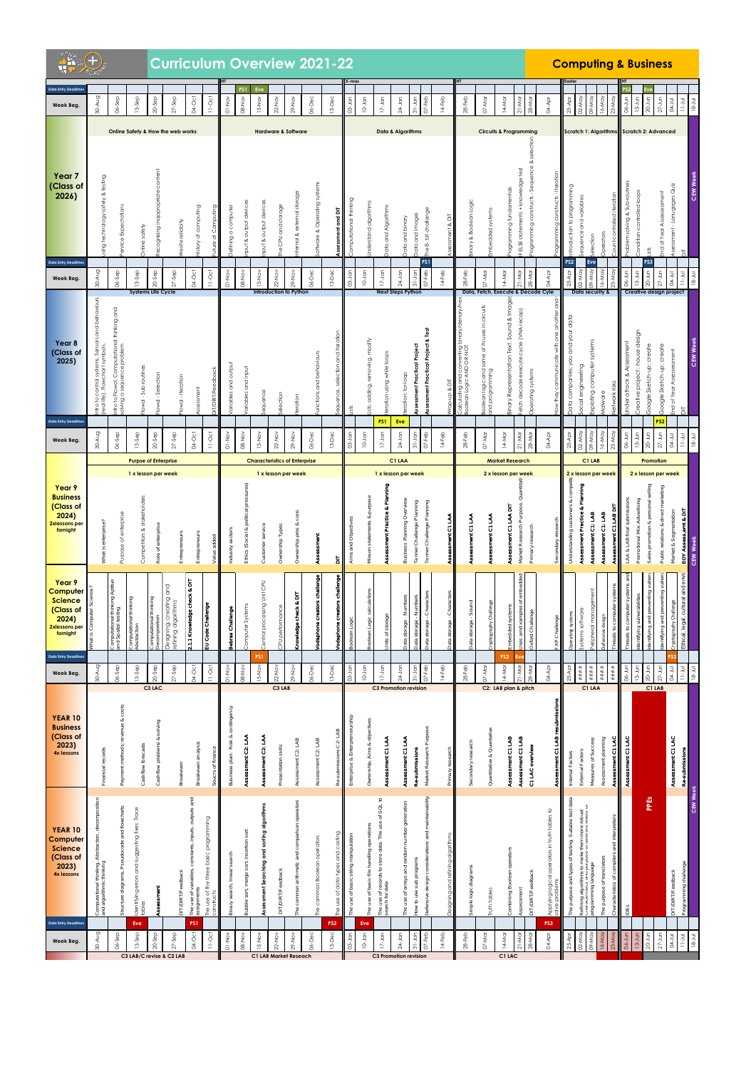| <b>Science</b><br>(Class of<br>2023)<br><b>4x lessons</b><br><b>Data Entry Deadlines</b>                                                        | <b>YEAR 10</b><br>Computer | <b>YEAR 10</b><br><b>Business</b><br>(Class of<br>2023)<br><b>4x lessons</b> | <b>Data Entry Deadline</b><br>Week Beg.           | Year 9<br>Computer<br><b>Science</b><br>(Class of<br>2024)<br>2xlessons per<br>fornight | Year 9<br><b>Business</b><br>(Class of<br>2024)<br>2xlessons per<br>fornight          | Week Beg.                   | Year 8<br>(Class of<br>2025)<br><b>Data Entry Deadline:</b>                       | <b>Data Entry Deadline:</b><br>Week Beg.          | Year <sub>7</sub><br>(Class of<br>2026)                            | <b>Data Entry Deadline:</b><br>Week Beg |
|-------------------------------------------------------------------------------------------------------------------------------------------------|----------------------------|------------------------------------------------------------------------------|---------------------------------------------------|-----------------------------------------------------------------------------------------|---------------------------------------------------------------------------------------|-----------------------------|-----------------------------------------------------------------------------------|---------------------------------------------------|--------------------------------------------------------------------|-----------------------------------------|
| Computational thinking, Abstraction, decomposition<br>and algorithmic thinking                                                                  |                            | Financial records                                                            | 30-Aug                                            |                                                                                         | What is enterprise?                                                                   | 30-Aug                      | ntro to control systems, Sensors and behaviours<br>real life). Flowchart symbols. | $30 - A \cup g$                                   | sing technology safely & testing                                   | 30-Aug                                  |
| Pseudocode and flowcharts<br>Structure diagrams,                                                                                                |                            | costs<br>revenue &<br>Payment methods;                                       | 06-Sep                                            | Computational thinking Aptitue<br>and Spaital testing                                   | Purpose of enterprise                                                                 | 06-Sep                      | ntro to Flowol. Computational thinking and<br>problem<br>a sequence<br>puivios    | 06-Sep                                            | enrice Expectations                                                | 06-Sep                                  |
| dentifying errors and suggesting fixes. Trace<br>tables<br>Eve                                                                                  |                            | Cashflow forecasts                                                           | $13-5ep$                                          | Computational thinking<br>Abstraction                                                   | 1 x lesson per week<br>Competitors & stakeholders                                     | $13-5ep$                    | Flowol - Sub routines                                                             | $13-5ep$                                          | Online safety                                                      | $13-$ Sep                               |
| <b>ssessment</b>                                                                                                                                |                            | Cashflow problems & solving                                                  | $20-5ep$<br>C3 LAC                                | omputational thinking<br>ecomposition                                                   | <b>Purpse of Enterprise</b><br>Role of enterprise                                     | $20-$ Sep                   | Flowol - Selection                                                                | $20-5ep$<br><b>Systems Life Cycle</b>             | tecognising inappropriate content                                  | $20-$ Sep                               |
| edback<br><b>DIT/DIRT/Fe</b>                                                                                                                    |                            | Breakeven                                                                    | $27-$ Sep                                         | Designing, creating and<br>efining algorithms                                           | Entrepreneurs                                                                         | $27-$ Sep                   | Flowol - Iteration                                                                | $27-$ Sep                                         | Online Safety & How the web works<br>Vesite reliabity              | $27-$ Sep                               |
| constants, inputs, outputs and<br>The use of variables,<br>assignments<br>PS <sub>1</sub>                                                       |                            | Breakeven analysis                                                           | $04-Oct$                                          | 2.1.1 Knowledge check & DIT                                                             | Entrepreneurs                                                                         | 04-Oct                      | Assessment                                                                        | 04-Oct                                            | listory of computing                                               | 04-Oct                                  |
| The use of the three basic programming                                                                                                          |                            | of fina                                                                      | $11-0ct$                                          | EU Code Challenge                                                                       | Value added                                                                           | $11-0c$                     | <b>DIT/DIRT/Fee</b>                                                               | $11-0ct$                                          | Computing<br>đ<br>uture                                            | $11-Oct$                                |
| h, linear search<br><b>Sinary</b> searc                                                                                                         |                            | Business plan: Risk & contingency                                            | $01-NO$                                           | Bebras Challenge                                                                        | Industry sectors                                                                      | $01-NO$                     | ariables and output                                                               | $01-NO$                                           | Defining a computer                                                | $01-Nov$                                |
| $\overline{5}$<br>merge sort, insertion<br>Bubble sort,                                                                                         |                            | Assessment C2: LAA                                                           | 08-Nov                                            | Computer Systems                                                                        | Ethics (Social & political pressures                                                  | $08-Nov$                    | ariables and input                                                                | 08-Nov                                            | iput & output devices                                              | PS1<br>08-Nov                           |
| Searching and sorting algorithms<br>Assessment                                                                                                  |                            | Assessment C2: LAA                                                           | PS <sub>1</sub><br>IS-Nov                         | Central processing Unit CPU                                                             | Customer service                                                                      | I5-Nov                      | equence                                                                           | I5-Nov                                            | iput & output devices                                              | Eve<br>$15-Nov$                         |
| eedback<br><b>DIT/DIRT/F</b>                                                                                                                    |                            | Presentation skills                                                          | $22-Nov$<br>C3 LAB                                | CPU performance                                                                         | <b>Characteristics of Enterprise</b><br>1 x lesson per week<br>Ownership Types        | $22-Nov$                    | ielection                                                                         | $22-Nov$<br>Introduction to Python                | <b>Hardware &amp; Software</b><br>and storage<br><b>CPU</b><br>உ   | $22-Nov$                                |
| common arithmetic and comparison operators                                                                                                      |                            | Assessment C2: LAB                                                           | 29-Nov                                            | 둠<br>ಷ<br>Knowledge check                                                               | Ownership pros & cons                                                                 | $29-NOV$                    | teration                                                                          | 29-Nov                                            | iternal & external storage                                         | $29 - Nov$                              |
| he common Boolean operators                                                                                                                     |                            | Assessment C2: LAB                                                           | $36 - Dec$                                        | /odaphone creators challenge                                                            | Assessment                                                                            | $06 - Dec$                  | unctions and behaviours                                                           | $06 - Dec$                                        | oftware & Operating systems                                        | $06 - Dec$                              |
| tata types and casting<br>use of<br>ĥе<br>PS <sub>2</sub>                                                                                       |                            | LAB<br>submissions<br>œ                                                      | $13 - Dec$                                        | odaphone creators challenge                                                             | $\overline{a}$                                                                        | $13-Dec$                    | and iteration<br>selection<br>ce,<br>eq∪                                          | $13-Dec$                                          | Assessment and DIT                                                 | $13-Dec$                                |
| use of basic string manipulation<br>The                                                                                                         |                            | Enterprise & Enterprenerurship                                               | $03 - Jan$                                        | Boolean Log                                                                             | Aims and Objectives                                                                   | $03-$ Jan                   | ists                                                                              | $03 - Jan$                                        | Computational thinking                                             | 03-Jan                                  |
| The use of basic file handling operations<br>Eve                                                                                                |                            | Ownership, Aims & objectives                                                 | $10 - Jan$                                        | calculations<br>3oolean Logic                                                           | Misson statements & purpose                                                           | $10-$ Jan                   | ists: adding, removing, modify                                                    | $10 - Jan$                                        | Inderstand algorithms                                              | $10-$ Jan                               |
| SQL to<br>$\sigma$<br>scords to store data. The use<br>The use of recor<br>search for data<br>Γĥ                                                |                            | Assessment C1 LAA                                                            | $17 - Jan$                                        | storage<br>Jnits of                                                                     | Assessment Practice & Planning                                                        | $17-$ Jan                   | teration using while loops<br>PS1                                                 | $17-$ Jan                                         | Data and Algorithms                                                | $17-$ Jan                               |
| The use of arrays and random number generation                                                                                                  |                            | Assessment C1 LAA                                                            | $24$ -Jan                                         | Data storage - Numbers                                                                  | C1 LAA<br>1 x lesson per week<br>Business Planning Overview                           | $24$ -Jan                   | teration: for-loop<br>Eve                                                         | $24$ -Jan<br><b>Next Steps Python</b>             | Data & Algorithms<br>Data and binary                               | $24$ -Jan                               |
| to use sub programs<br>$\geqslant$                                                                                                              |                            | Re-submissions                                                               | $31 - Jan$<br>$07 - Feb$<br>C3 Promotion revision | - Numbers<br>storage<br>Data                                                            | Tenner Challenge Planning                                                             | $31 - Jcm$<br>$07 - Feb$    | Assessment Practical Project                                                      | <b>PS1</b><br>$07 - Feb$<br>$31-Jan$              | Data and images                                                    | $31-Jam$<br>$07-Feb$                    |
| befensive design considerations and maintainability                                                                                             |                            | Market Research Purpose                                                      | $14-Feb$                                          | - Characters<br>storage<br>pate                                                         | Tenner Challenge Planning                                                             | $14 - Feb$                  | Assessment Practical Project & Test                                               | $14-Feb$                                          | The 8-bit challenge                                                | $14 - Feb$                              |
| ind refining algorithms<br>Designing                                                                                                            |                            | Primary research                                                             |                                                   | Characters<br><b>rata</b>                                                               | Assessment C1 LAA                                                                     |                             | Vrap-up & DIT                                                                     |                                                   | ssessment & DIT                                                    |                                         |
| diagrams<br>Simple logic                                                                                                                        |                            | Secondary research                                                           | $28 - Feb$                                        | Data storage - Sound                                                                    | Assessment C1 LAA                                                                     | $28 - Feb$                  | Calculating and converting binary/denary/hex<br>3oolean Logic AND OR NOT          | $28 - Feb$                                        | sinary & Boolean Logic                                             | $28 - Feb$                              |
| <b>Iruth tables</b>                                                                                                                             |                            | Quantitative & Quantative                                                    | 07-Mar                                            | Challenge<br>Vude JappA.                                                                | Assessment C1 LAA                                                                     | 07-Mar                      | Boolean logic and some of its uses in circuits<br>and programming                 | $07-M$ ar                                         | imbedded systems                                                   | 07-Mar                                  |
| combining Boolean operators                                                                                                                     |                            | Assessment C1 LAB                                                            | PS <sub>2</sub><br>14-Mar<br>C2: LAB plan & pitch | Embedded systems                                                                        | <b>Market Research</b><br>2 x lesson per week<br>Assessment C1 LAA DIT                | 14-Mar                      | Binary Representation Text, Sound & Image:                                        | 14-Mar                                            | <b>Circuits &amp; Programming</b><br>rogramming fundamentals       | 14-Mar                                  |
| Assessment                                                                                                                                      |                            | Assessment C1 LAB                                                            | Evc<br>$21-M$                                     | ebbedme<br>amd xamp                                                                     | Quantita<br>Market Research Purpose,                                                  | $21-M$ ar                   | etch decode execute cycle (VNA recap)                                             | $21-M$ ar                                         | ELSE statements + knowledge test                                   | $21-M$ ar                               |
| edback<br><b>DIT/DIRT/Fe</b>                                                                                                                    |                            | C1 LAC overview                                                              | 28-Mar                                            | oxford Challenge                                                                        | Primary research                                                                      | $28 - M$ ar                 | Operating systems                                                                 | $28 - M$ ar<br>Data, Fetch, Execute & Decode Cyle | rogramming constructs - Sequence & selection                       | 28-Mar                                  |
| Applying logical operators in truth tables to<br>olve problems<br>PS3                                                                           |                            | Assessment C1 LAB resubmissions                                              | 04-Apr                                            | Challenge<br>ă                                                                          | condary re                                                                            | 04-Apr                      | gup<br>communicate with one another<br>they                                       | 04-Apr                                            | amming constructs - Iteration                                      | 04-Apr                                  |
| and types of testing. Suitable test data<br>The purpose a                                                                                       |                            | Internal Factors                                                             | $25-A$ pr                                         | Operating systems                                                                       | Understanding customers & compe                                                       | $25 - ADT$                  | Data companies: you and your data                                                 | PS <sub>2</sub><br>$25 - A$ pr                    | ntroduction to programming                                         | $25 - Apr$                              |
| Refining algorithms to make them more robust<br>Premieration of the property of them more reveals<br>المط من به مصابحات<br>Trogramming language |                            | Measures of Success<br>External Factors                                      | ####<br>$***$<br>C1 LAA                           | eripheral management<br>systems software                                                | C1 LAB<br>2 x lesson per week<br>Assessment Practice & Planning<br>Assessment C1: LAB | $02-May$<br>09-May          | Exploting computer systems<br>Socail engineering                                  | Eve<br>09-May<br>02-May<br>Data security &        | <b>Scratch 1: Algorithms</b><br>equence and variables<br>Selection | 09-May<br>02-May                        |
| of translators<br>The purpose                                                                                                                   |                            | Assessment planning                                                          | $***$                                             | Defensive design                                                                        | Assessment C1: LAB                                                                    | 16-May                      | Malware                                                                           | 16-May                                            | Operators                                                          | 16-May                                  |
| and interpre<br>compil<br>ð<br>acterist                                                                                                         |                            | Assessment C1 LAC                                                            | $\#$ ## $\#$                                      | Threats to                                                                              | Assessment C1 LAB DIT                                                                 | $23-May$                    | Network risks                                                                     | 23-May                                            | rolled iteration                                                   | $23-May$                                |
| IDES                                                                                                                                            |                            | Assessment C1 LAC                                                            | $06 - Jun$                                        | Threats to computer                                                                     | LAA & LAB final submissions                                                           | 06-Jun                      | Under attack & Assessment                                                         | $06 - J$ un                                       | roblem solving & Sub-routines                                      | 06-Jun                                  |
| PPES                                                                                                                                            |                            |                                                                              | $13 - Jun$<br>$20-$ Jun                           | vulner<br>dentifying vulnerabilities<br>dentifying and prev                             | selling<br>Promotional Mix: Advertising<br>Sales promotion & personal                 | $13 - Jun$<br>20-Jun        | Creative project: house design<br>Google Sketch-up: create                        | PS3<br>$20-$ Jun<br>$13-$ Jun                     | Condition-controlled loops<br>ists                                 | $13-Jun$<br>$20 - Jun$                  |
|                                                                                                                                                 |                            |                                                                              | $27 - J$ un<br>C1 LAB                             | dentifying and preventing vulner                                                        | Promotion<br>2 x lesson per week<br>Public relations & direct marketing               | $27 - Jun$                  | Google Sketch-up: create<br>PS2                                                   | $27 - J$ un<br>Creative design project            | <b>Scratch 2: Advanced</b><br>ind of Year Assessessment            | $27 - Jun$                              |
| <b>JIT/DIRT/Feedback</b>                                                                                                                        |                            | Assessment C1 LAC                                                            | <b>D4-Jul</b>                                     | Cryptography Challenge                                                                  | Market & Segmentation                                                                 | 04-Jul                      | End of Year Assessessment                                                         | 04-Jul                                            | Assessment - Lanugages Quiz                                        | 04-Jul                                  |
| <b>CEW Week</b><br>challen                                                                                                                      |                            | Re-submissions                                                               | $18 - 30$<br>$11 - 30$                            | Ethical, legal, cultural and envir                                                      | EOY Assess, emt & DIT<br><b>CEW Week</b>                                              | $11 - J \cup$<br>$18 - Jul$ | <b>CEW Week</b><br>$\overline{\overline{\Delta}}$                                 | $11 - J$ ul<br>$18 - Jul$                         | CEW Week                                                           | $U-1$<br>$18 - JUI$                     |

| $AN_{\mathcal{L}}$ |  |
|--------------------|--|
|                    |  |
|                    |  |

## **Curriculum Overview 2021-22 Computing & Business**